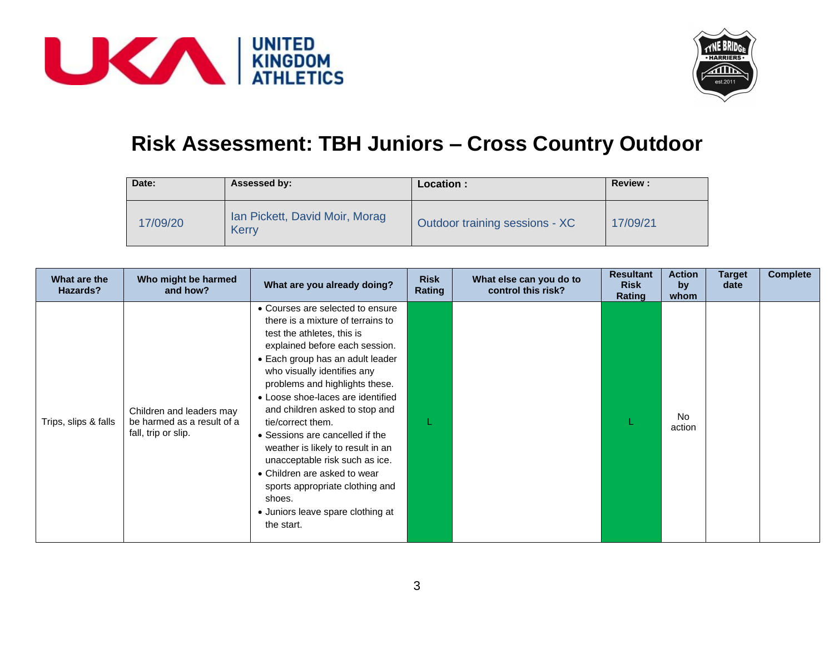



## **Risk Assessment: TBH Juniors – Cross Country Outdoor**

| Date:    | Assessed by:                            | Location :                     | <b>Review:</b> |
|----------|-----------------------------------------|--------------------------------|----------------|
| 17/09/20 | Ian Pickett, David Moir, Morag<br>Kerry | Outdoor training sessions - XC | 17/09/21       |

| What are the<br>Hazards? | Who might be harmed<br>and how?                                               | What are you already doing?                                                                                                                                                                                                                                                                                                                                                                                                                                                                                                                                                      | <b>Risk</b><br>Rating | What else can you do to<br>control this risk? | <b>Resultant</b><br><b>Risk</b><br>Rating | <b>Action</b><br>by<br>whom | <b>Target</b><br>date | <b>Complete</b> |
|--------------------------|-------------------------------------------------------------------------------|----------------------------------------------------------------------------------------------------------------------------------------------------------------------------------------------------------------------------------------------------------------------------------------------------------------------------------------------------------------------------------------------------------------------------------------------------------------------------------------------------------------------------------------------------------------------------------|-----------------------|-----------------------------------------------|-------------------------------------------|-----------------------------|-----------------------|-----------------|
| Trips, slips & falls     | Children and leaders may<br>be harmed as a result of a<br>fall, trip or slip. | • Courses are selected to ensure<br>there is a mixture of terrains to<br>test the athletes, this is<br>explained before each session.<br>• Each group has an adult leader<br>who visually identifies any<br>problems and highlights these.<br>• Loose shoe-laces are identified<br>and children asked to stop and<br>tie/correct them.<br>• Sessions are cancelled if the<br>weather is likely to result in an<br>unacceptable risk such as ice.<br>• Children are asked to wear<br>sports appropriate clothing and<br>shoes.<br>• Juniors leave spare clothing at<br>the start. |                       |                                               |                                           | No.<br>action               |                       |                 |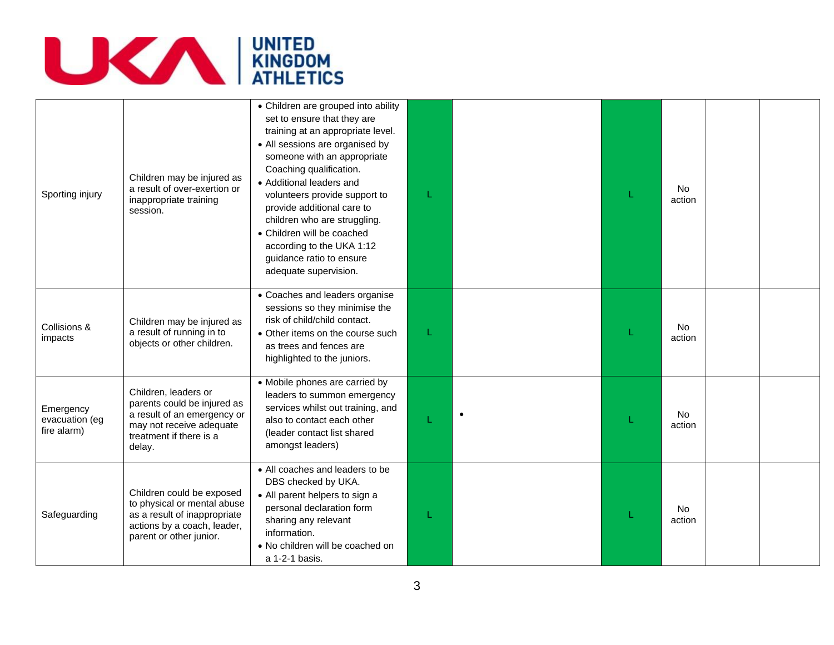

| Sporting injury                            | Children may be injured as<br>a result of over-exertion or<br>inappropriate training<br>session.                                                    | • Children are grouped into ability<br>set to ensure that they are<br>training at an appropriate level.<br>• All sessions are organised by<br>someone with an appropriate<br>Coaching qualification.<br>• Additional leaders and<br>volunteers provide support to<br>provide additional care to<br>children who are struggling.<br>• Children will be coached<br>according to the UKA 1:12<br>guidance ratio to ensure<br>adequate supervision. |           | <b>No</b><br>action |  |
|--------------------------------------------|-----------------------------------------------------------------------------------------------------------------------------------------------------|-------------------------------------------------------------------------------------------------------------------------------------------------------------------------------------------------------------------------------------------------------------------------------------------------------------------------------------------------------------------------------------------------------------------------------------------------|-----------|---------------------|--|
| Collisions &<br>impacts                    | Children may be injured as<br>a result of running in to<br>objects or other children.                                                               | • Coaches and leaders organise<br>sessions so they minimise the<br>risk of child/child contact.<br>• Other items on the course such<br>as trees and fences are<br>highlighted to the juniors.                                                                                                                                                                                                                                                   |           | <b>No</b><br>action |  |
| Emergency<br>evacuation (eg<br>fire alarm) | Children, leaders or<br>parents could be injured as<br>a result of an emergency or<br>may not receive adequate<br>treatment if there is a<br>delay. | • Mobile phones are carried by<br>leaders to summon emergency<br>services whilst out training, and<br>also to contact each other<br>(leader contact list shared<br>amongst leaders)                                                                                                                                                                                                                                                             | $\bullet$ | No.<br>action       |  |
| Safeguarding                               | Children could be exposed<br>to physical or mental abuse<br>as a result of inappropriate<br>actions by a coach, leader,<br>parent or other junior.  | • All coaches and leaders to be<br>DBS checked by UKA.<br>• All parent helpers to sign a<br>personal declaration form<br>sharing any relevant<br>information.<br>• No children will be coached on<br>a 1-2-1 basis.                                                                                                                                                                                                                             |           | <b>No</b><br>action |  |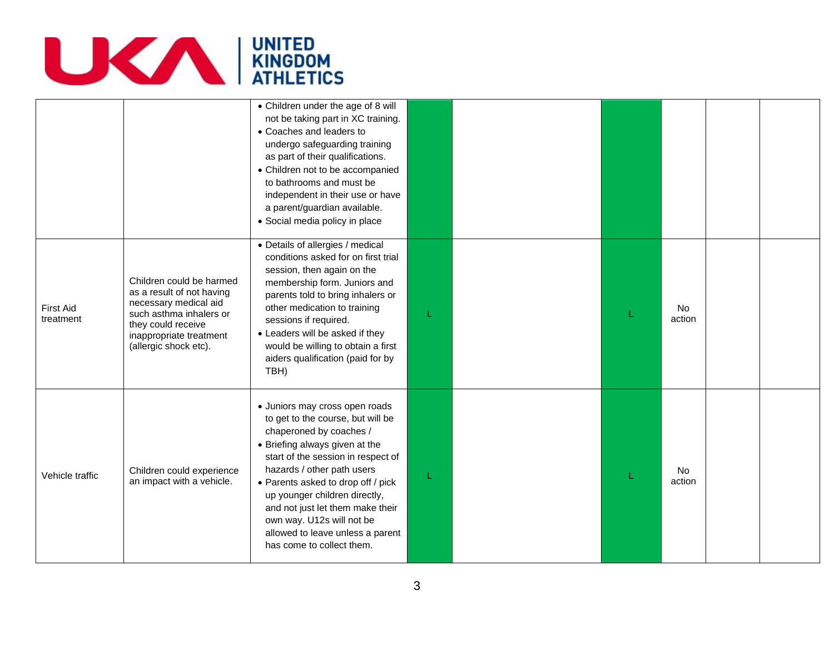

|                               |                                                                                                                                                                                     | • Children under the age of 8 will<br>not be taking part in XC training.<br>• Coaches and leaders to<br>undergo safeguarding training<br>as part of their qualifications.<br>• Children not to be accompanied<br>to bathrooms and must be<br>independent in their use or have<br>a parent/guardian available.<br>• Social media policy in place                                                               |   |  |                     |  |
|-------------------------------|-------------------------------------------------------------------------------------------------------------------------------------------------------------------------------------|---------------------------------------------------------------------------------------------------------------------------------------------------------------------------------------------------------------------------------------------------------------------------------------------------------------------------------------------------------------------------------------------------------------|---|--|---------------------|--|
| <b>First Aid</b><br>treatment | Children could be harmed<br>as a result of not having<br>necessary medical aid<br>such asthma inhalers or<br>they could receive<br>inappropriate treatment<br>(allergic shock etc). | • Details of allergies / medical<br>conditions asked for on first trial<br>session, then again on the<br>membership form. Juniors and<br>parents told to bring inhalers or<br>other medication to training<br>sessions if required.<br>• Leaders will be asked if they<br>would be willing to obtain a first<br>aiders qualification (paid for by<br>TBH)                                                     | L |  | <b>No</b><br>action |  |
| Vehicle traffic               | Children could experience<br>an impact with a vehicle.                                                                                                                              | · Juniors may cross open roads<br>to get to the course, but will be<br>chaperoned by coaches /<br>• Briefing always given at the<br>start of the session in respect of<br>hazards / other path users<br>• Parents asked to drop off / pick<br>up younger children directly,<br>and not just let them make their<br>own way. U12s will not be<br>allowed to leave unless a parent<br>has come to collect them. | 1 |  | <b>No</b><br>action |  |